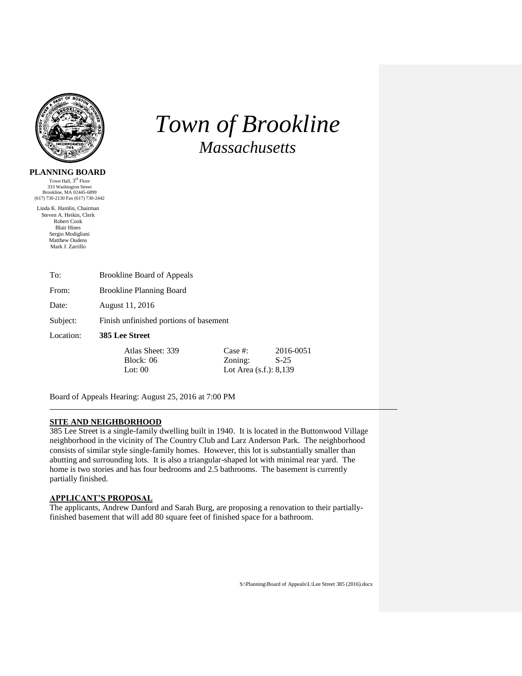

# **PLANNING BOARD** Town Hall, 3<sup>rd</sup> Floor

333 Washington Street Brookline, MA 02445-6899 (617) 730-2130 Fax (617) 730-2442

Linda K. Hamlin, Chairman Steven A. Heikin, Clerk Robert Cook Blair Hines Sergio Modigliani Matthew Oudens Mark J. Zarrillo

*Town of Brookline Massachusetts*

| To:       | <b>Brookline Board of Appeals</b>      |                             |           |
|-----------|----------------------------------------|-----------------------------|-----------|
| From:     | <b>Brookline Planning Board</b>        |                             |           |
| Date:     | August 11, 2016                        |                             |           |
| Subject:  | Finish unfinished portions of basement |                             |           |
| Location: | 385 Lee Street                         |                             |           |
|           | Atlas Sheet: 339                       | Case #:                     | 2016-0051 |
|           | Block: 06                              | Zoning:                     | $S-25$    |
|           | Lot: $00$                              | Lot Area $(s.f.)$ : $8,139$ |           |

Board of Appeals Hearing: August 25, 2016 at 7:00 PM

# **SITE AND NEIGHBORHOOD**

385 Lee Street is a single-family dwelling built in 1940. It is located in the Buttonwood Village neighborhood in the vicinity of The Country Club and Larz Anderson Park. The neighborhood consists of similar style single-family homes. However, this lot is substantially smaller than abutting and surrounding lots. It is also a triangular-shaped lot with minimal rear yard. The home is two stories and has four bedrooms and 2.5 bathrooms. The basement is currently partially finished.

## **APPLICANT'S PROPOSAL**

The applicants, Andrew Danford and Sarah Burg, are proposing a renovation to their partiallyfinished basement that will add 80 square feet of finished space for a bathroom.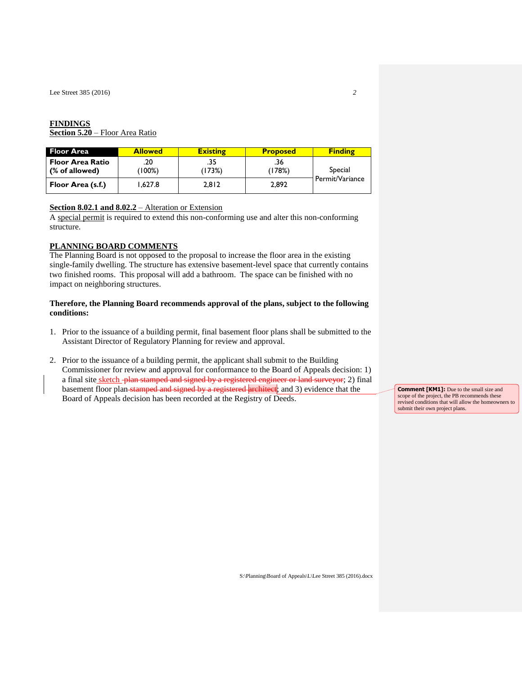#### **FINDINGS**

**Section 5.20** – Floor Area Ratio

| <b>Floor Area</b>                         | <b>Allowed</b>  | <b>Existing</b> | <b>Proposed</b> | <b>Finding</b>             |
|-------------------------------------------|-----------------|-----------------|-----------------|----------------------------|
| <b>Floor Area Ratio</b><br>(% of allowed) | .20<br>$100\%)$ | .35<br>(173%)   | .36<br>(178%)   | Special<br>Permit/Variance |
| Floor Area (s.f.)                         | 1.627.8         | 2.812           | 2.892           |                            |

## **Section 8.02.1 and 8.02.2** – Alteration or Extension

A special permit is required to extend this non-conforming use and alter this non-conforming structure.

### **PLANNING BOARD COMMENTS**

The Planning Board is not opposed to the proposal to increase the floor area in the existing single-family dwelling. The structure has extensive basement-level space that currently contains two finished rooms. This proposal will add a bathroom. The space can be finished with no impact on neighboring structures.

### **Therefore, the Planning Board recommends approval of the plans, subject to the following conditions:**

- 1. Prior to the issuance of a building permit, final basement floor plans shall be submitted to the Assistant Director of Regulatory Planning for review and approval.
- 2. Prior to the issuance of a building permit, the applicant shall submit to the Building Commissioner for review and approval for conformance to the Board of Appeals decision: 1) a final site sketch plan stamped and signed by a registered engineer or land surveyor; 2) final basement floor plan stamped and signed by a registered architect; and 3) evidence that the Board of Appeals decision has been recorded at the Registry of Deeds.

**Comment [KM1]:** Due to the small size and scope of the project, the PB recommends these revised conditions that will allow the homeowners to submit their own project plans.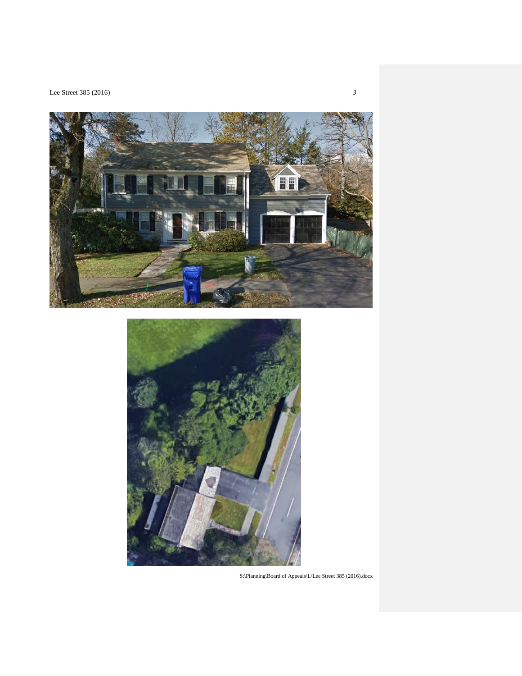Lee Street 385 (2016)





S:\Planning\Board of Appeals\L\Lee Street 385 (2016).docx

*3*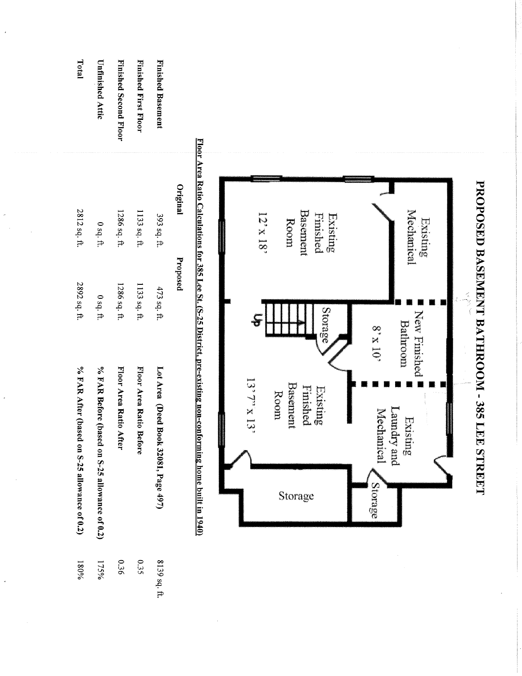| Basement<br>12'x 18'<br>Existing<br>Finished<br>Room   | Mechanical<br>Bunsixin                                           | こくどくてきせい<br><b>- ידר ריי זי</b> |
|--------------------------------------------------------|------------------------------------------------------------------|---------------------------------|
| Storage<br>$\boldsymbol{\xi}$                          | New Finished<br><b>Bahroma</b><br>$8 \times 10$                  | $\frac{4}{3}$<br>$\overline{a}$ |
| 13'7"x 13'<br>Basement<br>Existing<br>Finished<br>Room | <b>Existence</b><br>Tantina and<br>Mechanical<br><b>Existing</b> | <b>CONTRACTOR</b>               |
| Storage                                                | Storage                                                          |                                 |



|                              | Original     | Proposed       |                                               |                 |
|------------------------------|--------------|----------------|-----------------------------------------------|-----------------|
| <b>Finished Basement</b>     | 393 sq. ft.  | $473$ sq. ft.  | Lot Area (Deed Book 32081, Page 497)          | 8139 sq. ft.    |
| <b>Existed Erist Eloor</b>   | 1133 sq. ft. | $1133$ sq. ft. | Floor Area Ratio Before                       | $\frac{35}{25}$ |
| <b>Finished Second Floor</b> | 1286 sq. ft. | 1286 sq. ft.   | Floor Area Ratio After                        | 0.36            |
| <b>Unfinished Attic</b>      | $0$ sq. ft.  | $0$ sq. ft.    | % FAR Before (based on S-25 allowance of 0.2) | 175%            |
| Total                        | 2812 sq. ft. | 2892 sq. ft.   | % FAR After (based on S-25 allowance of 0.2)  | $180\%$         |

 $\overline{a}$ 

Ļ,

**PROPOSED BASEXIENT BATHROOM - 382 FEE SHREEL**